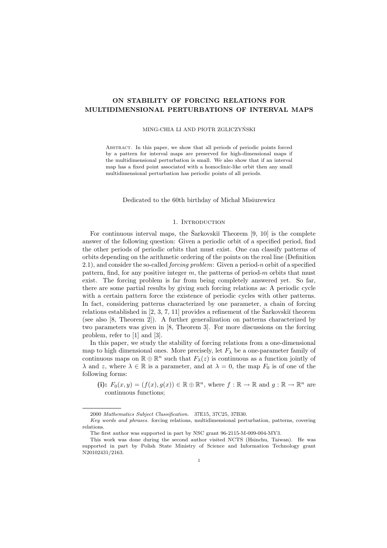# ON STABILITY OF FORCING RELATIONS FOR MULTIDIMENSIONAL PERTURBATIONS OF INTERVAL MAPS

#### MING-CHIA LI AND PIOTR ZGLICZYŃSKI

Abstract. In this paper, we show that all periods of periodic points forced by a pattern for interval maps are preserved for high-dimensional maps if the multidimensional perturbation is small. We also show that if an interval map has a fixed point associated with a homoclinic-like orbit then any small multidimensional perturbation has periodic points of all periods.

#### Dedicated to the 60th birthday of Michał Misiurewicz

### 1. INTRODUCTION

For continuous interval maps, the Sarkovski $\tilde{\text{Theorem}}$  [9, 10] is the complete answer of the following question: Given a periodic orbit of a specified period, find the other periods of periodic orbits that must exist. One can classify patterns of orbits depending on the arithmetic ordering of the points on the real line (Definition 2.1), and consider the so-called *forcing problem*: Given a period-n orbit of a specified pattern, find, for any positive integer  $m$ , the patterns of period- $m$  orbits that must exist. The forcing problem is far from being completely answered yet. So far, there are some partial results by giving such forcing relations as: A periodic cycle with a certain pattern force the existence of periodic cycles with other patterns. In fact, considering patterns characterized by one parameter, a chain of forcing relations established in  $[2, 3, 7, 11]$  provides a refinement of the Sarkovski<sup> $\check{u}$ </sup> theorem (see also [8, Theorem 2]). A further generalization on patterns characterized by two parameters was given in [8, Theorem 3]. For more discussions on the forcing problem, refer to [1] and [3].

In this paper, we study the stability of forcing relations from a one-dimensional map to high dimensional ones. More precisely, let  $F_{\lambda}$  be a one-parameter family of continuous maps on  $\mathbb{R} \oplus \mathbb{R}^n$  such that  $F_\lambda(z)$  is continuous as a function jointly of  $\lambda$  and z, where  $\lambda \in \mathbb{R}$  is a parameter, and at  $\lambda = 0$ , the map  $F_0$  is of one of the following forms:

(i):  $F_0(x, y) = (f(x), g(x)) \in \mathbb{R} \oplus \mathbb{R}^n$ , where  $f : \mathbb{R} \to \mathbb{R}$  and  $g : \mathbb{R} \to \mathbb{R}^n$  are continuous functions;

<sup>2000</sup> Mathematics Subject Classification. 37E15, 37C25, 37B30.

Key words and phrases. forcing relations, multidimensional perturbation, patterns, covering relations.

The first author was supported in part by NSC grant 96-2115-M-009-004-MY3.

This work was done during the second author visited NCTS (Hsinchu, Taiwan). He was supported in part by Polish State Ministry of Science and Information Technology grant N20102431/2163.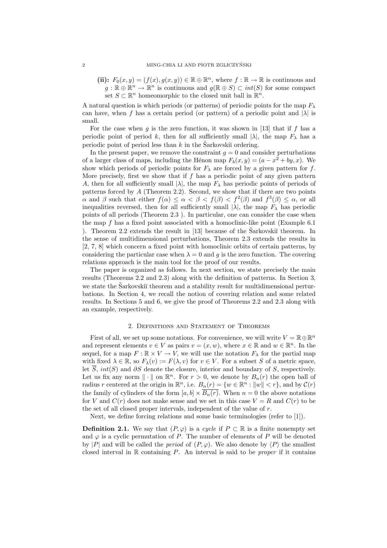(ii):  $F_0(x, y) = (f(x), g(x, y)) \in \mathbb{R} \oplus \mathbb{R}^n$ , where  $f : \mathbb{R} \to \mathbb{R}$  is continuous and  $g : \mathbb{R} \oplus \mathbb{R}^n \to \mathbb{R}^n$  is continuous and  $g(\mathbb{R} \oplus S) \subset int(S)$  for some compact set  $S \subset \mathbb{R}^n$  homeomorphic to the closed unit ball in  $\mathbb{R}^n$ .

A natural question is which periods (or patterns) of periodic points for the map  $F_{\lambda}$ can have, when f has a certain period (or pattern) of a periodic point and  $|\lambda|$  is small.

For the case when g is the zero function, it was shown in [13] that if f has a periodic point of period k, then for all sufficiently small  $|\lambda|$ , the map  $F_{\lambda}$  has a periodic point of period less than  $k$  in the Sarkovski<sup> $\tilde{u}$ </sup> ordering.

In the present paper, we remove the constraint  $q = 0$  and consider perturbations of a larger class of maps, including the Hénon map  $F_b(x, y) = (a - x^2 + by, x)$ . We show which periods of periodic points for  $F_{\lambda}$  are forced by a given pattern for f. More precisely, first we show that if  $f$  has a periodic point of any given pattern A, then for all sufficiently small  $|\lambda|$ , the map  $F_{\lambda}$  has periodic points of periods of patterns forced by  $A$  (Theorem 2.2). Second, we show that if there are two points  $\alpha$  and  $\beta$  such that either  $f(\alpha) \leq \alpha < \beta < f(\beta) < f^2(\beta)$  and  $f^3(\beta) \leq \alpha$ , or all inequalities reversed, then for all sufficiently small  $|\lambda|$ , the map  $F_{\lambda}$  has periodic points of all periods (Theorem 2.3 ). In particular, one can consider the case when the map f has a fixed point associated with a homoclinic-like point (Example 6.1 ). Theorem 2.2 extends the result in  $[13]$  because of the Sarkovski<sup> $\check{a}$ </sup> theorem. In the sense of multidimensional perturbations, Theorem 2.3 extends the results in [2, 7, 8] which concern a fixed point with homoclinic orbits of certain patterns, by considering the particular case when  $\lambda = 0$  and g is the zero function. The covering relations approach is the main tool for the proof of our results.

The paper is organized as follows. In next section, we state precisely the main results (Theorems 2.2 and 2.3) along with the definition of patterns. In Section 3, we state the Sarkovski<sup>i</sup> theorem and a stability result for multidimensional perturbations. In Section 4, we recall the notion of covering relation and some related results. In Sections 5 and 6, we give the proof of Theorems 2.2 and 2.3 along with an example, respectively.

#### 2. Definitions and Statement of Theorems

First of all, we set up some notations. For convenience, we will write  $V = \mathbb{R} \oplus \mathbb{R}^n$ and represent elements  $v \in V$  as pairs  $v = (x, w)$ , where  $x \in \mathbb{R}$  and  $w \in \mathbb{R}^n$ . In the sequel, for a map  $F : \mathbb{R} \times V \to V$ , we will use the notation  $F_{\lambda}$  for the partial map with fixed  $\lambda \in \mathbb{R}$ , so  $F_{\lambda}(v) := F(\lambda, v)$  for  $v \in V$ . For a subset S of a metric space, let  $\overline{S}$ ,  $int(S)$  and  $\partial S$  denote the closure, interior and boundary of S, respectively. Let us fix any norm  $\|\cdot\|$  on  $\mathbb{R}^n$ . For  $r > 0$ , we denote by  $B_n(r)$  the open ball of radius r centered at the origin in  $\mathbb{R}^n$ , i.e.  $B_n(r) = \{w \in \mathbb{R}^n : ||w|| < r\}$ , and by  $\mathcal{C}(r)$ the family of cylinders of the form  $[a, b] \times \overline{B_n(r)}$ . When  $n = 0$  the above notations for V and  $C(r)$  does not make sense and we set in this case  $V = R$  and  $C(r)$  to be the set of all closed proper intervals, independent of the value of  $r$ .

Next, we define forcing relations and some basic terminologies (refer to [1]).

**Definition 2.1.** We say that  $(P, \varphi)$  is a cycle if  $P \subset \mathbb{R}$  is a finite nonempty set and  $\varphi$  is a cyclic permutation of P. The number of elements of P will be denoted by |P| and will be called the *period* of  $(P, \varphi)$ . We also denote by  $\langle P \rangle$  the smallest closed interval in  $\mathbb R$  containing  $P$ . An interval is said to be *proper* if it contains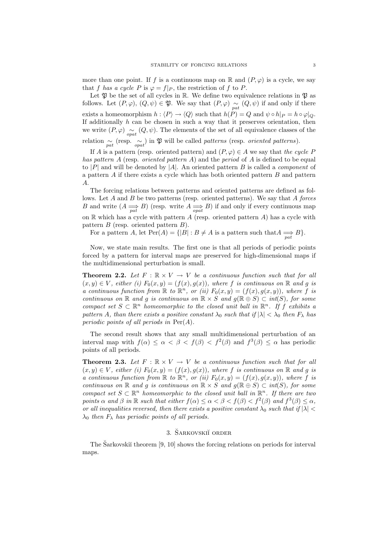more than one point. If f is a continuous map on  $\mathbb R$  and  $(P, \varphi)$  is a cycle, we say that f has a cycle P is  $\varphi = f|_P$ , the restriction of f to P.

Let  $\mathfrak P$  be the set of all cycles in  $\mathbb R.$  We define two equivalence relations in  $\mathfrak P$  as follows. Let  $(P, \varphi)$ ,  $(Q, \psi) \in \mathfrak{P}$ . We say that  $(P, \varphi) \underset{pat}{\sim} (Q, \psi)$  if and only if there exists a homeomorphism  $h : \langle P \rangle \to \langle Q \rangle$  such that  $h(P) = Q$  and  $\psi \circ h|_P = h \circ \varphi|_Q$ . If additionally  $h$  can be chosen in such a way that it preserves orientation, then we write  $(P, \varphi) \sim_{\text{opt}} (Q, \psi)$ . The elements of the set of all equivalence classes of the relation  $\sim_{pat}$  (resp.  $\sim_{opt}$ ) in  $\mathfrak{P}$  will be called *patterns* (resp. *oriented patterns*).

If A is a pattern (resp. oriented pattern) and  $(P, \varphi) \in A$  we say that the cycle P has pattern A (resp. oriented pattern A) and the period of A is defined to be equal to |P| and will be denoted by |A|. An oriented pattern B is called a *component* of a pattern A if there exists a cycle which has both oriented pattern B and pattern A.

The forcing relations between patterns and oriented patterns are defined as follows. Let  $A$  and  $B$  be two patterns (resp. oriented patterns). We say that  $A$  forces B and write  $(A \longrightarrow_{pat} B)$  (resp. write  $A \longrightarrow_{opt} B$ ) if and only if every continuous map on  $\mathbb R$  which has a cycle with pattern  $A$  (resp. oriented pattern  $A$ ) has a cycle with pattern  $B$  (resp. oriented pattern  $B$ ).

For a pattern A, let  $Per(A) = \{ |B| : B \neq A \text{ is a pattern such that } A \underset{pat}{\Longrightarrow} B \}.$ 

Now, we state main results. The first one is that all periods of periodic points forced by a pattern for interval maps are preserved for high-dimensional maps if the multidimensional perturbation is small.

**Theorem 2.2.** Let  $F : \mathbb{R} \times V \to V$  be a continuous function such that for all  $(x, y) \in V$ , either (i)  $F_0(x, y) = (f(x), g(x))$ , where f is continuous on R and g is a continuous function from  $\mathbb R$  to  $\mathbb R^n$ , or (ii)  $F_0(x,y) = (f(x), g(x,y))$ , where f is continuous on R and g is continuous on  $\mathbb{R} \times S$  and  $g(\mathbb{R} \oplus S) \subset int(S)$ , for some compact set  $S \subset \mathbb{R}^n$  homeomorphic to the closed unit ball in  $\mathbb{R}^n$ . If f exhibits a pattern A, than there exists a positive constant  $\lambda_0$  such that if  $|\lambda| < \lambda_0$  then  $F_\lambda$  has periodic points of all periods in  $Per(A)$ .

The second result shows that any small multidimensional perturbation of an interval map with  $f(\alpha) \leq \alpha < \beta < f(\beta) < f^2(\beta)$  and  $f^3(\beta) \leq \alpha$  has periodic points of all periods.

**Theorem 2.3.** Let  $F : \mathbb{R} \times V \to V$  be a continuous function such that for all  $(x, y) \in V$ , either (i)  $F_0(x, y) = (f(x), g(x))$ , where f is continuous on R and g is a continuous function from  $\mathbb R$  to  $\mathbb R^n$ , or (ii)  $F_0(x,y) = (f(x), g(x,y))$ , where f is continuous on R and g is continuous on  $\mathbb{R} \times S$  and  $g(\mathbb{R} \oplus S) \subset int(S)$ , for some compact set  $S \subset \mathbb{R}^n$  homeomorphic to the closed unit ball in  $\mathbb{R}^n$ . If there are two points  $\alpha$  and  $\beta$  in  $\mathbb R$  such that either  $f(\alpha) \leq \alpha < \beta < f(\beta) < f^2(\beta)$  and  $f^3(\beta) \leq \alpha$ , or all inequalities reversed, then there exists a positive constant  $\lambda_0$  such that if  $|\lambda|$  <  $\lambda_0$  then  $F_\lambda$  has periodic points of all periods.

### 3. ŠARKOVSKII ORDER

The Sarkovski<sup> $\tilde{u}$ </sup> theorem [9, 10] shows the forcing relations on periods for interval maps.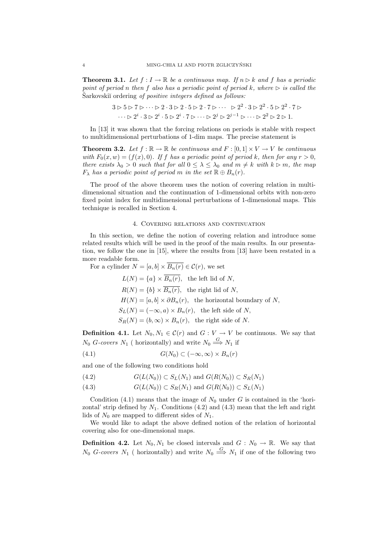**Theorem 3.1.** Let  $f: I \to \mathbb{R}$  be a continuous map. If  $n \triangleright k$  and f has a periodic point of period n then f also has a periodic point of period k, where  $\triangleright$  is called the Sarkovskiı̆ ordering *of positive integers defined as follows:* 

$$
3 \triangleright 5 \triangleright 7 \triangleright \cdots \triangleright 2 \cdot 3 \triangleright 2 \cdot 5 \triangleright 2 \cdot 7 \triangleright \cdots \triangleright 2^2 \cdot 3 \triangleright 2^2 \cdot 5 \triangleright 2^2 \cdot 7 \triangleright \cdots \triangleright 2^i \cdot 3 \triangleright 2^i \cdot 5 \triangleright 2^i \cdot 7 \triangleright \cdots \triangleright 2^j \triangleright 2^{j-1} \triangleright \cdots \triangleright 2^2 \triangleright 2 \triangleright 1.
$$

In [13] it was shown that the forcing relations on periods is stable with respect to multidimensional perturbations of 1-dim maps. The precise statement is

**Theorem 3.2.** Let  $f : \mathbb{R} \to \mathbb{R}$  be continuous and  $F : [0, 1] \times V \to V$  be continuous with  $F_0(x, w) = (f(x), 0)$ . If f has a periodic point of period k, then for any  $r > 0$ , there exists  $\lambda_0 > 0$  such that for all  $0 \leq \lambda \leq \lambda_0$  and  $m \neq k$  with  $k \geq m$ , the map  $F_{\lambda}$  has a periodic point of period m in the set  $\mathbb{R} \oplus B_n(r)$ .

The proof of the above theorem uses the notion of covering relation in multidimensional situation and the continuation of 1-dimensional orbits with non-zero fixed point index for multidimensional perturbations of 1-dimensional maps. This technique is recalled in Section 4.

### 4. Covering relations and continuation

In this section, we define the notion of covering relation and introduce some related results which will be used in the proof of the main results. In our presentation, we follow the one in [15], where the results from [13] have been restated in a more readable form.

For a cylinder  $N = [a, b] \times \overline{B_n(r)} \in \mathcal{C}(r)$ , we set

 $L(N) = \{a\} \times \overline{B_n(r)}$ , the left lid of N,  $R(N) = \{b\} \times \overline{B_n(r)}$ , the right lid of N,  $H(N) = [a, b] \times \partial B_n(r)$ , the horizontal boundary of N,  $S_L(N) = (-\infty, a) \times B_n(r)$ , the left side of N,  $S_R(N) = (b, \infty) \times B_n(r)$ , the right side of N.

**Definition 4.1.** Let  $N_0, N_1 \in \mathcal{C}(r)$  and  $G: V \to V$  be continuous. We say that  $N_0$  G-covers  $N_1$  (horizontally) and write  $N_0 \stackrel{G}{\Longrightarrow} N_1$  if

$$
(4.1) \tG(N_0) \subset (-\infty, \infty) \times B_n(r)
$$

and one of the following two conditions hold

(4.2) 
$$
G(L(N_0)) \subset S_L(N_1) \text{ and } G(R(N_0)) \subset S_R(N_1)
$$

(4.3) 
$$
G(L(N_0)) \subset S_R(N_1) \text{ and } G(R(N_0)) \subset S_L(N_1)
$$

Condition (4.1) means that the image of  $N_0$  under G is contained in the 'horizontal' strip defined by  $N_1$ . Conditions  $(4.2)$  and  $(4.3)$  mean that the left and right lids of  $N_0$  are mapped to different sides of  $N_1$ .

We would like to adapt the above defined notion of the relation of horizontal covering also for one-dimensional maps.

**Definition 4.2.** Let  $N_0, N_1$  be closed intervals and  $G : N_0 \to \mathbb{R}$ . We say that  $N_0$  G-covers  $N_1$  (horizontally) and write  $N_0 \stackrel{G}{\Longrightarrow} N_1$  if one of the following two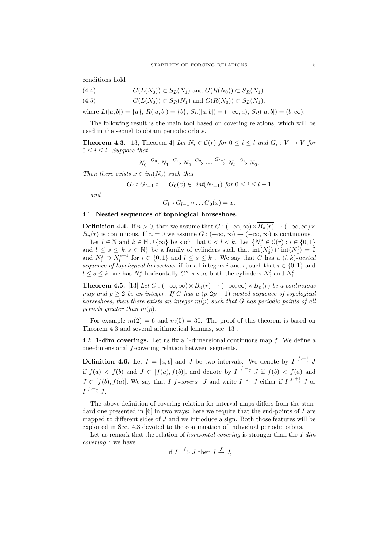conditions hold

- (4.4)  $G(L(N_0)) \subset S_L(N_1)$  and  $G(R(N_0)) \subset S_R(N_1)$
- (4.5)  $G(L(N_0)) \subset S_R(N_1)$  and  $G(R(N_0)) \subset S_L(N_1)$ ,

where  $L([a, b]) = \{a\}, R([a, b]) = \{b\}, S_L([a, b]) = (-\infty, a), S_R([a, b]) = (b, \infty).$ 

The following result is the main tool based on covering relations, which will be used in the sequel to obtain periodic orbits.

**Theorem 4.3.** [13, Theorem 4] Let  $N_i \in \mathcal{C}(r)$  for  $0 \leq i \leq l$  and  $G_i : V \to V$  for  $0 \leq i \leq l$ . Suppose that

$$
N_0 \stackrel{G_0}{\Longrightarrow} N_1 \stackrel{G_1}{\Longrightarrow} N_2 \stackrel{G_2}{\Longrightarrow} \cdots \stackrel{G_{l-1}}{\Longrightarrow} N_l \stackrel{G_l}{\Longrightarrow} N_0.
$$

Then there exists  $x \in int(N_0)$  such that

$$
G_i \circ G_{i-1} \circ \dots G_0(x) \in \ int(N_{i+1}) \ for \ 0 \leq i \leq l-1
$$

and

$$
G_l \circ G_{l-1} \circ \dots G_0(x) = x.
$$

## 4.1. Nested sequences of topological horseshoes.

**Definition 4.4.** If  $n > 0$ , then we assume that  $G : (-\infty, \infty) \times \overline{B_n(r)} \to (-\infty, \infty) \times$  $B_n(r)$  is continuous. If  $n = 0$  we assume  $G : (-\infty, \infty) \to (-\infty, \infty)$  is continuous. Let  $l \in \mathbb{N}$  and  $k \in \mathbb{N} \cup \{\infty\}$  be such that  $0 < l < k$ . Let  $\{N_i^s \in \mathcal{C}(r) : i \in \{0,1\}$ and  $l \leq s \leq k, s \in \mathbb{N}$  be a family of cylinders such that  $\text{int}(N_0^l) \cap \text{int}(N_1^l) = \emptyset$ and  $N_i^s \supset N_i^{s+1}$  for  $i \in \{0,1\}$  and  $l \leq s \leq k$ . We say that G has a  $(l, k)$ -nested sequence of topological horseshoes if for all integers i and s, such that  $i \in \{0,1\}$  and  $l \leq s \leq k$  one has  $N_i^s$  horizontally  $G^s$ -covers both the cylinders  $N_0^l$  and  $N_1^l$ .

**Theorem 4.5.** [13] Let  $G: (-\infty, \infty) \times \overline{B_n(r)} \to (-\infty, \infty) \times B_n(r)$  be a continuous map and  $p \geq 2$  be an integer. If G has a  $(p, 2p - 1)$ -nested sequence of topological horseshoes, then there exists an integer  $m(p)$  such that G has periodic points of all periods greater than  $m(p)$ .

For example  $m(2) = 6$  and  $m(5) = 30$ . The proof of this theorem is based on Theorem 4.3 and several arithmetical lemmas, see [13].

4.2. **1-dim coverings.** Let us fix a 1-dimensional continuous map  $f$ . We define a one-dimensional f-covering relation between segments.

**Definition 4.6.** Let  $I = [a, b]$  and J be two intervals. We denote by  $I \stackrel{f,+1}{\longrightarrow} J$ if  $f(a) < f(b)$  and  $J \subset [f(a), f(b)]$ , and denote by  $I \xrightarrow{f,-1} J$  if  $f(b) < f(a)$  and  $J \subset [f(b), f(a)]$ . We say that I f-covers J and write  $I \stackrel{f}{\rightarrow} J$  either if  $I \stackrel{f,+1}{\rightarrow} J$  or  $I \stackrel{f,-1}{\longrightarrow} J.$ 

The above definition of covering relation for interval maps differs from the standard one presented in [6] in two ways: here we require that the end-points of I are mapped to different sides of  $J$  and we introduce a sign. Both those features will be exploited in Sec. 4.3 devoted to the continuation of individual periodic orbits.

Let us remark that the relation of *horizontal covering* is stronger than the 1-dim covering : we have

if 
$$
I \stackrel{f}{\Longrightarrow} J
$$
 then  $I \stackrel{f}{\to} J$ ,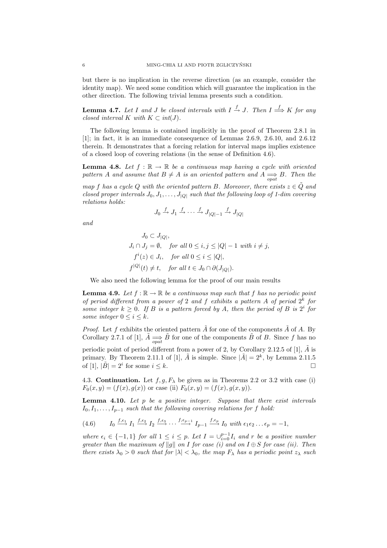but there is no implication in the reverse direction (as an example, consider the identity map). We need some condition which will guarantee the implication in the other direction. The following trivial lemma presents such a condition.

**Lemma 4.7.** Let I and J be closed intervals with  $I \stackrel{f}{\to} J$ . Then  $I \stackrel{f}{\Longrightarrow} K$  for any closed interval K with  $K \subset int(J)$ .

The following lemma is contained implicitly in the proof of Theorem 2.8.1 in [1]; in fact, it is an immediate consequence of Lemmas 2.6.9, 2.6.10, and 2.6.12 therein. It demonstrates that a forcing relation for interval maps implies existence of a closed loop of covering relations (in the sense of Definition 4.6).

**Lemma 4.8.** Let  $f : \mathbb{R} \to \mathbb{R}$  be a continuous map having a cycle with oriented pattern A and assume that  $B \neq A$  is an oriented pattern and  $A \underset{opt}{\Longrightarrow} B$ . Then the

map f has a cycle Q with the oriented pattern B. Moreover, there exists  $z \in \tilde{Q}$  and closed proper intervals  $J_0, J_1, \ldots, J_{|Q|}$  such that the following loop of 1-dim covering relations holds:

$$
J_0 \xrightarrow{f} J_1 \xrightarrow{f} \cdots \xrightarrow{f} J_{|Q|-1} \xrightarrow{f} J_{|Q|}
$$

and

$$
J_0 \subset J_{|Q|},
$$
  
\n
$$
J_i \cap J_j = \emptyset, \quad \text{for all } 0 \le i, j \le |Q| - 1 \text{ with } i \ne j,
$$
  
\n
$$
f^i(z) \in J_i, \quad \text{for all } 0 \le i \le |Q|,
$$
  
\n
$$
f^{|Q|}(t) \ne t, \quad \text{for all } t \in J_0 \cap \partial(J_{|Q|}).
$$

We also need the following lemma for the proof of our main results

**Lemma 4.9.** Let  $f : \mathbb{R} \to \mathbb{R}$  be a continuous map such that f has no periodic point of period different from a power of 2 and f exhibits a pattern A of period  $2^k$  for some integer  $k \geq 0$ . If B is a pattern forced by A, then the period of B is  $2^{i}$  for some integer  $0 \leq i \leq k$ .

*Proof.* Let  $f$  exhibits the oriented pattern  $A$  for one of the components  $A$  of  $A$ . By Corollary 2.7.1 of [1],  $\tilde{A} \implies \tilde{B}$  for one of the components  $\tilde{B}$  of B. Since f has no periodic point of period different from a power of 2, by Corollary 2.12.5 of [1],  $\tilde{A}$  is primary. By Theorem 2.11.1 of [1],  $\tilde{A}$  is simple. Since  $|\tilde{A}| = 2^k$ , by Lemma 2.11.5 of [1],  $|\tilde{B}| = 2^i$  for some  $i \leq k$ .

4.3. Continuation. Let  $f, g, F_\lambda$  be given as in Theorems 2.2 or 3.2 with case (i)  $F_0(x, y) = (f(x), g(x))$  or case (ii)  $F_0(x, y) = (f(x), g(x, y))$ .

**Lemma 4.10.** Let  $p$  be a positive integer. Suppose that there exist intervals  $I_0, I_1, \ldots, I_{p-1}$  such that the following covering relations for f hold:

 $(4.6)$  $f_{\cdot} \epsilon_1 I_1 \xrightarrow{f_{\cdot} \epsilon_2} I_2 \xrightarrow{f_{\cdot} \epsilon_3} \cdots \xrightarrow{f_{\cdot} \epsilon_{p-1}} I_{p-1} \xrightarrow{f_{\cdot} \epsilon_p} I_0 \text{ with } \epsilon_1 \epsilon_2 \ldots \epsilon_p = -1,$ 

where  $\epsilon_i \in \{-1,1\}$  for all  $1 \leq i \leq p$ . Let  $I = \bigcup_{i=0}^{p-1} I_i$  and r be a positive number greater than the maximum of  $\|g\|$  on I for case (i) and on I  $\oplus$  S for case (ii). Then there exists  $\lambda_0 > 0$  such that for  $|\lambda| < \lambda_0$ , the map  $F_\lambda$  has a periodic point  $z_\lambda$  such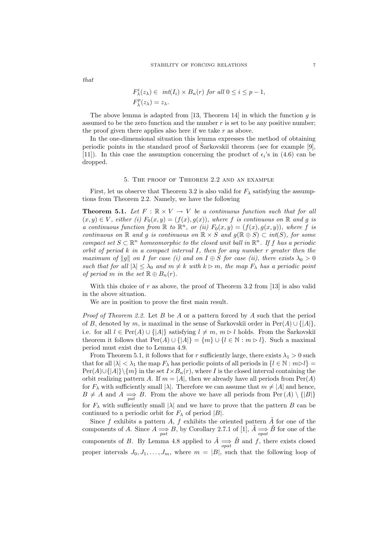that

$$
F_{\lambda}^{i}(z_{\lambda}) \in int(I_{i}) \times B_{n}(r) \text{ for all } 0 \leq i \leq p-1,
$$
  

$$
F_{\lambda}^{p}(z_{\lambda}) = z_{\lambda}.
$$

The above lemma is adapted from [13, Theorem 14] in which the function q is assumed to be the zero function and the number  $r$  is set to be any positive number; the proof given there applies also here if we take  $r$  as above.

In the one-dimensional situation this lemma expresses the method of obtaining periodic points in the standard proof of Sarkovskiı̆ theorem (see for example [9], [11]). In this case the assumption concerning the product of  $\epsilon_i$ 's in (4.6) can be dropped.

#### 5. The proof of Theorem 2.2 and an example

First, let us observe that Theorem 3.2 is also valid for  $F_{\lambda}$  satisfying the assumptions from Theorem 2.2. Namely, we have the following

**Theorem 5.1.** Let  $F : \mathbb{R} \times V \to V$  be a continuous function such that for all  $(x, y) \in V$ , either (i)  $F_0(x, y) = (f(x), g(x))$ , where f is continuous on R and g is a continuous function from  $\mathbb R$  to  $\mathbb R^n$ , or (ii)  $F_0(x,y) = (f(x), g(x,y))$ , where f is continuous on  $\mathbb R$  and g is continuous on  $\mathbb R \times S$  and  $g(\mathbb R \oplus S) \subset int(S)$ , for some compact set  $S \subset \mathbb{R}^n$  homeomorphic to the closed unit ball in  $\mathbb{R}^n$ . If f has a periodic orbit of period  $k$  in a compact interval  $I$ , then for any number  $r$  greater then the maximum of  $||g||$  on I for case (i) and on  $I \oplus S$  for case (ii), there exists  $\lambda_0 > 0$ such that for all  $|\lambda| \leq \lambda_0$  and  $m \neq k$  with  $k \geq m$ , the map  $F_\lambda$  has a periodic point of period m in the set  $\mathbb{R} \oplus B_n(r)$ .

With this choice of r as above, the proof of Theorem 3.2 from  $[13]$  is also valid in the above situation.

We are in position to prove the first main result.

*Proof of Theorem 2.2.* Let B be A or a pattern forced by A such that the period of B, denoted by m, is maximal in the sense of Sarkovskiı̆ order in  $\text{Per}(A) \cup \{|A|\},$ i.e. for all  $l \in Per(A) \cup \{|A|\}$  satisfying  $l \neq m$ ,  $m \geq l$  holds. From the Sarkovskiı theorem it follows that  $Per(A) \cup \{|A|\} = \{m\} \cup \{l \in \mathbb{N} : m \triangleright l\}$ . Such a maximal period must exist due to Lemma 4.9.

From Theorem 5.1, it follows that for r sufficiently large, there exists  $\lambda_1 > 0$  such that for all  $|\lambda| < \lambda_1$  the map  $F_\lambda$  has periodic points of all periods in  $\{l \in \mathbb{N} : m \triangleright l\}$  $Per(A) \cup \{|A|\}\{m\}$  in the set  $I \times B_n(r)$ , where I is the closed interval containing the orbit realizing pattern A. If  $m = |A|$ , then we already have all periods from  $\text{Per}(A)$ for  $F_{\lambda}$  with sufficiently small  $|\lambda|$ . Therefore we can assume that  $m \neq |A|$  and hence,  $B \neq A$  and  $A \Longrightarrow_{pat} B$ . From the above we have all periods from Per  $(A) \setminus \{|B|\}$ for  $F_{\lambda}$  with sufficiently small  $|\lambda|$  and we have to prove that the pattern B can be continued to a periodic orbit for  $F_{\lambda}$  of period |B|.

Since  $f$  exhibits a pattern  $A$ ,  $f$  exhibits the oriented pattern  $\tilde{A}$  for one of the components of A. Since  $A \Longrightarrow_{pat} B$ , by Corollary 2.7.1 of [1],  $\tilde{A} \Longrightarrow_{opt} \tilde{B}$  for one of the components of B. By Lemma 4.8 applied to  $\tilde{A} \implies \tilde{B}$  and f, there exists closed proper intervals  $J_0, J_1, \ldots, J_m$ , where  $m = |B|$ , such that the following loop of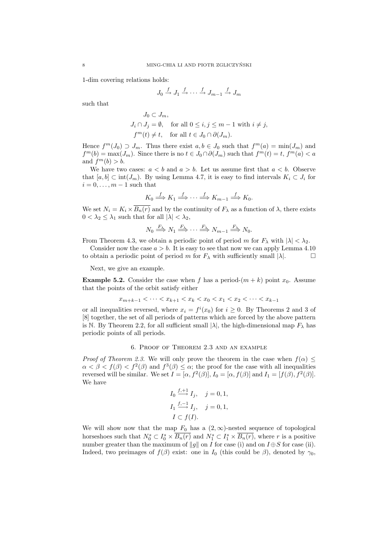1-dim covering relations holds:

$$
J_0 \xrightarrow{f} J_1 \xrightarrow{f} \cdots \xrightarrow{f} J_{m-1} \xrightarrow{f} J_m
$$

such that

$$
J_0 \subset J_m,
$$
  
\n
$$
J_i \cap J_j = \emptyset, \text{ for all } 0 \le i, j \le m - 1 \text{ with } i \ne j,
$$
  
\n
$$
f^m(t) \ne t, \text{ for all } t \in J_0 \cap \partial(J_m).
$$

Hence  $f^m(J_0) \supset J_m$ . Thus there exist  $a, b \in J_0$  such that  $f^m(a) = \min(J_m)$  and  $f^{m}(b) = \max(J_m)$ . Since there is no  $t \in J_0 \cap \partial(J_m)$  such that  $f^{m}(t) = t$ ,  $f^{m}(a) < a$ and  $f^m(b) > b$ .

We have two cases:  $a < b$  and  $a > b$ . Let us assume first that  $a < b$ . Observe that  $[a, b] \subset \text{int}(J_m)$ . By using Lemma 4.7, it is easy to find intervals  $K_i \subset J_i$  for  $i = 0, \ldots, m - 1$  such that

$$
K_0 \xrightarrow{f} K_1 \xrightarrow{f} \cdots \xrightarrow{f} K_{m-1} \xrightarrow{f} K_0.
$$

We set  $N_i = K_i \times \overline{B_n(r)}$  and by the continuity of  $F_\lambda$  as a function of  $\lambda$ , there exists  $0 < \lambda_2 \leq \lambda_1$  such that for all  $|\lambda| < \lambda_2$ ,

$$
N_0 \stackrel{F_\lambda}{\Longrightarrow} N_1 \stackrel{F_\lambda}{\Longrightarrow} \cdots \stackrel{F_\lambda}{\Longrightarrow} N_{m-1} \stackrel{F_\lambda}{\Longrightarrow} N_0.
$$

From Theorem 4.3, we obtain a periodic point of period m for  $F_{\lambda}$  with  $|\lambda| < \lambda_2$ .

Consider now the case  $a > b$ . It is easy to see that now we can apply Lemma 4.10 to obtain a periodic point of period m for  $F_{\lambda}$  with sufficiently small  $|\lambda|$ .

Next, we give an example.

**Example 5.2.** Consider the case when f has a period- $(m + k)$  point  $x_0$ . Assume that the points of the orbit satisfy either

$$
x_{m+k-1} < \cdots < x_{k+1} < x_k < x_0 < x_1 < x_2 < \cdots < x_{k-1}
$$

or all inequalities reversed, where  $x_i = f^i(x_0)$  for  $i \geq 0$ . By Theorems 2 and 3 of [8] together, the set of all periods of patterns which are forced by the above pattern is N. By Theorem 2.2, for all sufficient small  $|\lambda|$ , the high-dimensional map  $F_{\lambda}$  has periodic points of all periods.

# 6. Proof of Theorem 2.3 and an example

*Proof of Theorem 2.3.* We will only prove the theorem in the case when  $f(\alpha) \leq$  $\alpha < \beta < f(\beta) < f^2(\beta)$  and  $f^3(\beta) \leq \alpha$ ; the proof for the case with all inequalities reversed will be similar. We set  $I = [\alpha, f^2(\beta)], I_0 = [\alpha, f(\beta)]$  and  $I_1 = [f(\beta), f^2(\beta)].$ We have

$$
I_0 \xrightarrow{f,+1} I_j, \quad j = 0, 1,
$$
  
\n
$$
I_1 \xrightarrow{f,-1} I_j, \quad j = 0, 1,
$$
  
\n
$$
I \subset f(I).
$$

We will show now that the map  $F_0$  has a  $(2,\infty)$ -nested sequence of topological horseshoes such that  $N_0^s \subset I_0^s \times \overline{B_n(r)}$  and  $N_1^s \subset I_1^s \times \overline{B_n(r)}$ , where r is a positive number greater than the maximum of  $||g||$  on I for case (i) and on  $I \oplus S$  for case (ii). Indeed, two preimages of  $f(\beta)$  exist: one in  $I_0$  (this could be  $\beta$ ), denoted by  $\gamma_0$ ,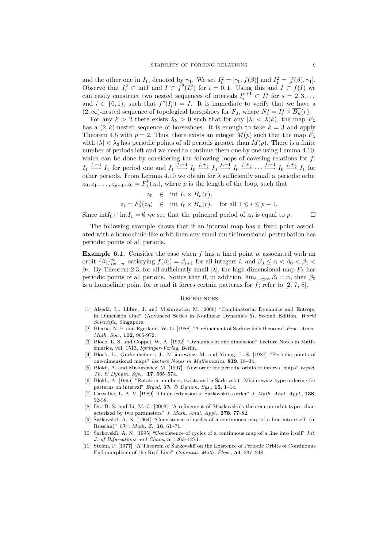and the other one in  $I_1$ , denoted by  $\gamma_1$ . We set  $I_0^2 = [\gamma_0, f(\beta)]$  and  $I_1^2 = [f(\beta), \gamma_1]$ . Observe that  $I_i^2 \subset \text{int } I$  and  $I \subset f^2(I_i^2)$  for  $i = 0, 1$ . Using this and  $I \subset f(I)$  we can easily construct two nested sequences of intervals  $I_i^{s+1} \subset I_i^s$  for  $s = 2, 3, ...$ and  $i \in \{0,1\}$ , such that  $f^{s}(I_{i}^{s}) = I$ . It is immediate to verify that we have a  $(2,\infty)$ -nested sequence of topological horseshoes for  $F_0$ , where  $N_i^s = I_i^s \times \overline{B_n}(r)$ .

For any  $k > 2$  there exists  $\lambda_k > 0$  such that for any  $|\lambda| < \lambda(k)$ , the map  $F_\lambda$ has a  $(2, k)$ -nested sequence of horseshoes. It is enough to take  $k = 3$  and apply Theorem 4.5 with  $p = 2$ . Thus, there exists an integer  $M(p)$  such that the map  $F_{\lambda}$ with  $|\lambda| < \lambda_3$  has periodic points of all periods greater than  $M(p)$ . There is a finite number of periods left and we need to continue them one by one using Lemma 4.10, which can be done by considering the following loops of covering relations for  $f$ :  $I_1 \stackrel{f,-1}{\longrightarrow} I_1$  for period one and  $I_1 \stackrel{f,-1}{\longrightarrow} I_0 \stackrel{f,+1}{\longrightarrow} I_0 \stackrel{f,+1}{\longrightarrow} I_0 \stackrel{f,+1}{\longrightarrow} \cdots \stackrel{f,+1}{\longrightarrow} I_0 \stackrel{f,+1}{\longrightarrow} I_1$  for other periods. From Lemma 4.10 we obtain for  $\lambda$  sufficiently small a periodic orbit  $z_0, z_1, \ldots, z_{p-1}, z_0 = F_{\lambda}^p(z_0)$ , where p is the length of the loop, such that

$$
z_0 \in \text{int } I_1 \times B_n(r),
$$
  
\n
$$
z_i = F_{\lambda}^i(z_0) \in \text{int } I_0 \times B_n(r), \text{ for all } 1 \le i \le p-1.
$$

Since  $\text{int}I_0 \cap \text{int}I_1 = \emptyset$  we see that the principal period of  $z_0$  is equal to p.  $\Box$ 

The following example shows that if an interval map has a fixed point associated with a homoclinic-like orbit then any small multidimensional perturbation has periodic points of all periods.

**Example 6.1.** Consider the case when f has a fixed point  $\alpha$  associated with an orbit  $\{\beta_i\}_{i=-\infty}^{\infty}$  satisfying  $f(\beta_i) = \beta_{i+1}$  for all integers i, and  $\beta_3 \leq \alpha < \beta_0 < \beta_1 <$  $\beta_2$ . By Theorem 2.3, for all sufficiently small  $|\lambda|$ , the high-dimensional map  $F_\lambda$  has periodic points of all periods. Notice that if, in addition,  $\lim_{i\to\pm\infty} \beta_i = \alpha$ , then  $\beta_0$ is a homoclinic point for  $\alpha$  and it forces certain patterns for f; refer to [2, 7, 8].

#### **REFERENCES**

- [1] Alsed´a, L., Llibre, J. and Misiurewicz, M. [2000] "Combinatorial Dynamics and Entropy in Dimension One" (Advanced Series in Nonlinear Dynamics 5), Second Edition, World Scientific, Singapore.
- [2] Bhatia, N. P. and Egerland, W. O. [1988] "A refinement of Sarkovskii's theorem" Proc. Amer. Math. Soc., **102**, 965-972.
- [3] Block, L. S. and Coppel, W. A. [1992] "Dynamics in one dimension" Lecture Notes in Mathematics, vol. 1513, Springer-Verlag, Berlin.
- [4] Block, L., Guckenheimer, J., Misiurewicz, M. and Young, L.-S. [1980] "Periodic points of one-dimensional maps" Lecture Notes in Mathematics, 819, 18–34.
- [5] Blokh, A. and Misiurewicz, M. [1997] "New order for periodic orbits of interval maps" Ergod. Th. & Dynam. Sys., 17, 565–574.
- Blokh, A. [1995] "Rotation numbers, twists and a Šarkovskiĭ –Misiurewicz–type ordering for patterns on interval" Ergod. Th. & Dynam. Sys., 15, 1-14.
- [7] Carvalho, L. A. V. [1989] "On an extension of Sarkovskii's order" J. Math. Anal. Appl., 138, 52-58.
- [8] Du, B.-S. and Li, M.-C. [2003] "A refinement of Sharkovskii's theorem on orbit types characterized by two parameters" J. Math. Anal. Appl., 278, 77–82.
- Šarkovskiĭ, A. N. [1964] "Coexistence of cycles of a continuous map of a line into itself. (in Russian)" Ukr. Math. Z., 16, 61–71.
- [10] Šarkovskiĭ, A. N. [1995] "Coexistence of cycles of a continuous map of a line into itself" Int. J. of Bifurcations and Chaos, 5, 1263–1274.
- [11] Stefan, P. [1977] "A Theorem of Šarkovskiĭ on the Existence of Periodic Orbits of Continouus Endomorphism of the Real Line" Commun. Math. Phys., 54, 237–248.